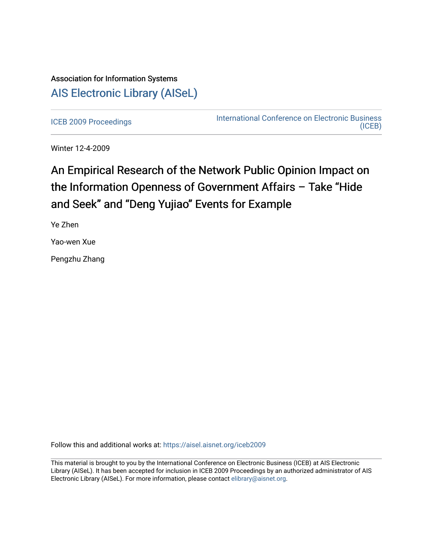## Association for Information Systems [AIS Electronic Library \(AISeL\)](https://aisel.aisnet.org/)

[ICEB 2009 Proceedings](https://aisel.aisnet.org/iceb2009) **International Conference on Electronic Business** [\(ICEB\)](https://aisel.aisnet.org/iceb) 

Winter 12-4-2009

# An Empirical Research of the Network Public Opinion Impact on the Information Openness of Government Affairs – Take "Hide and Seek" and "Deng Yujiao" Events for Example

Ye Zhen

Yao-wen Xue

Pengzhu Zhang

Follow this and additional works at: [https://aisel.aisnet.org/iceb2009](https://aisel.aisnet.org/iceb2009?utm_source=aisel.aisnet.org%2Ficeb2009%2F49&utm_medium=PDF&utm_campaign=PDFCoverPages)

This material is brought to you by the International Conference on Electronic Business (ICEB) at AIS Electronic Library (AISeL). It has been accepted for inclusion in ICEB 2009 Proceedings by an authorized administrator of AIS Electronic Library (AISeL). For more information, please contact [elibrary@aisnet.org.](mailto:elibrary@aisnet.org%3E)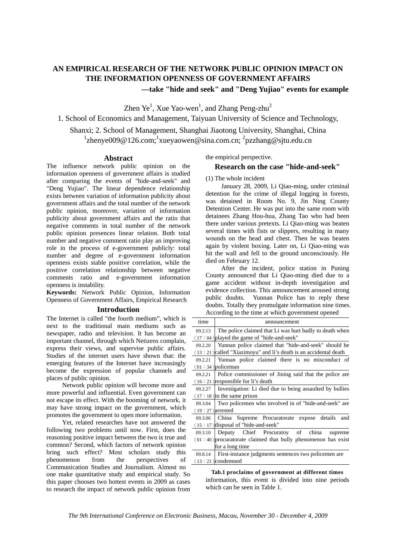## **AN EMPIRICAL RESEARCH OF THE NETWORK PUBLIC OPINION IMPACT ON THE INFORMATION OPENNESS OF GOVERNMENT AFFAIRS —take "hide and seek" and "Deng Yujiao" events for example**

Zhen  $Ye^{1}$ , Xue Yao-wen<sup>1</sup>, and Zhang Peng-zhu<sup>2</sup>

1. School of Economics and Management, Taiyuan University of Science and Technology,

Shanxi; 2. School of Management, Shanghai Jiaotong University, Shanghai, China  $1$ zhenye009@126.com;  $1$ xueyaowen@sina.com.cn;  $2$ pzzhang@sjtu.edu.cn

#### **Abstract**

The influence network public opinion on the information openness of government affairs is studied after comparing the events of "hide-and-seek" and "Deng Yujiao". The linear dependence relationship exists between variation of information publicity about government affairs and the total number of the network public opinion, moreover, variation of information publicity about government affairs and the ratio that negative comments in total number of the network public opinion presences linear relation. Both total number and negative comment ratio play an improving role in the process of e-government publicly: total number and degree of e-government information openness exists stable positive correlation, while the positive correlation relationship between negative comments ratio and e-government information openness is instability.

**Keywords:** Network Public Opinion, Information Openness of Government Affairs, Empirical Research

#### **Introduction**

The Internet is called "the fourth medium", which is next to the traditional main mediums such as newspaper, radio and television. It has become an important channel, through which Netizens complain, express their views, and supervise public affairs. Studies of the internet users have shown that: the emerging features of the Internet have increasingly become the expression of popular channels and places of public opinion.

Network public opinion will become more and  $\overline{\phantom{a}}$ more powerful and influential. Even government can not escape its effect. With the booming of network, it may have strong impact on the government, which promotes the government to open more information.

Yet, related researches have not answered the following two problems until now. First, does the reasoning positive impact between the two is true and common? Second, which factors of network opinion bring such effect? Most scholars study this phenomenon from the perspectives of Communication Studies and Journalism. Almost no one make quantitative study and empirical study. So this paper chooses two hottest events in 2009 as cases to research the impact of network public opinion from the empirical perspective.

#### **Research on the case "hide-and-seek"**

(1) The whole incident

January 28, 2009, Li Qiao-ming, under criminal detention for the crime of illegal logging in forests, was detained in Room No. 9, Jin Ning County Detention Center. He was put into the same room with detainees Zhang Hou-hua, Zhang Tao who had been there under various pretexts. Li Qiao-ming was beaten several times with fists or slippers, resulting in many wounds on the head and chest. Then he was beaten again by violent boxing. Later on, Li Qiao-ming was hit the wall and fell to the ground unconsciously. He died on February 12.

After the incident, police station in Puning County announced that Li Qiao-ming died due to a game accident without in-depth investigation and evidence collection. This announcement aroused strong public doubts. Yunnan Police has to reply these doubts. Totally they promulgate information nine times. According to the time at which government opened

| time               | announcement                                                       |  |  |  |  |  |
|--------------------|--------------------------------------------------------------------|--|--|--|--|--|
| 09.2.13            | The police claimed that Li was hurt badly to death when            |  |  |  |  |  |
|                    | $(17:04)$ played the game of "hide-and-seek"                       |  |  |  |  |  |
| 09.2.20            | Yunnan police claimed that "hide-and-seek" should be               |  |  |  |  |  |
|                    | $(13:21)$ called "Xiazimoyu" and li's death is an accidental death |  |  |  |  |  |
| 09.2.21            | Yunnan police claimed there is no misconduct of                    |  |  |  |  |  |
|                    | $(01:34)$ policeman                                                |  |  |  |  |  |
| 09.2.21            | Police commissioner of Jining said that the police are             |  |  |  |  |  |
|                    | $(16:21)$ responsible for li's death                               |  |  |  |  |  |
| 09.2.27            | Investigation: Li died due to being assaulted by bullies           |  |  |  |  |  |
|                    | $(17:18)$ in the same prison                                       |  |  |  |  |  |
| 09.3.04            | Two policemen who involved in of "hide-and-seek" are               |  |  |  |  |  |
| $(19:27)$ arrested |                                                                    |  |  |  |  |  |
| 09.3.06            | China Supreme Procuratorate expose details and                     |  |  |  |  |  |
|                    | $(15:17)$ disposal of "hide-and-seek"                              |  |  |  |  |  |
| 09.3.10            | Deputy Chief Procurator of china<br>supreme                        |  |  |  |  |  |
|                    | $(01:40)$ procuratorate claimed that bully phenomenon has exist    |  |  |  |  |  |
|                    | for a long time                                                    |  |  |  |  |  |
|                    | 09.8.14   First-instance judgments sentences two policemen are     |  |  |  |  |  |
|                    | $(13:21)$ condemned                                                |  |  |  |  |  |

**Tab.1 proclaims of government at different times**  information, this event is divided into nine periods which can be seen in Table 1.

*The 9th International Conference on Electronic Business, Macau, November 30 - December 4, 2009*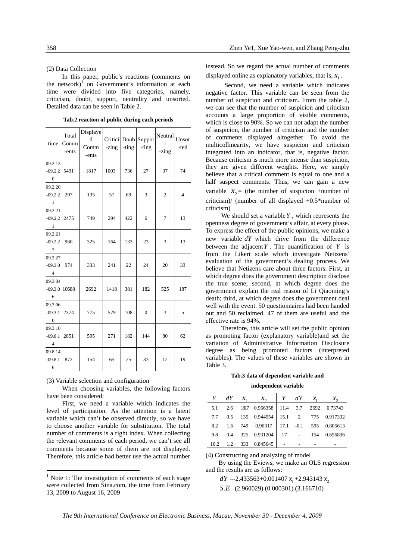#### (2) Data Collection

In this paper, public's reactions (comments on the network)<sup> $1$ </sup> on Government's information at each time were divided into five categories, namely, criticism, doubt, support, neutrality and unsorted. Detailed data can be seen in Table 2.

| time<br>09.2.13<br>$-09.2.2$<br>$\overline{\mathbf{0}}$<br>09.2.20 | Total<br>Comm<br>-ents<br>5491 | Displaye<br>d<br>Comm<br>-ents<br>1817 | -zing<br>1003 | -ting<br>736 | Critici Doub Suppor<br>-ting<br>27 | Neutral<br>$\mathbf{i}$<br>-zing<br>37 | Unsor<br>-ted<br>74 |
|--------------------------------------------------------------------|--------------------------------|----------------------------------------|---------------|--------------|------------------------------------|----------------------------------------|---------------------|
| $-09.2.2$<br>$\overline{1}$                                        | 297                            | 135                                    | 57            | 69           | 3                                  | $\mathbf{2}$                           | $\overline{4}$      |
| 09.2.21<br>$-09.2.2$<br>$\overline{\phantom{0}}$ 1                 | 2475                           | 749                                    | 294           | 422          | 6                                  | $\tau$                                 | 13                  |
| 09.2.21<br>$-09.2.2$<br>$\overline{7}$                             | 960                            | 325                                    | 164           | 133          | 23                                 | 3                                      | 13                  |
| 09.2.27<br>$-09.3.0$<br>$\overline{4}$                             | 974                            | 333                                    | 241           | 22           | 24                                 | 20                                     | 33                  |
| 09.3.04<br>$-09.3.0$<br>$-6$                                       | 10688                          | 2692                                   | 1418          | 381          | 182                                | 525                                    | 187                 |
| 09.3.06<br>$-09.3.1$<br>$\overline{\mathbf{0}}$                    | 2374                           | 775                                    | 579           | 108          | $\boldsymbol{0}$                   | 3                                      | 5                   |
| 09.3.10<br>$-09.8.1$<br>$\overline{4}$                             | 2851                           | 595                                    | 271           | 182          | 144                                | 80                                     | 62                  |
| 09.8.14<br>$-09.8.1$<br>6                                          | 872                            | 154                                    | 65            | 25           | 33                                 | 12                                     | 19                  |

**Tab.2 reaction of public during each periods** 

(3) Variable selection and configuration

-

When choosing variables, the following factors have been considered:

First, we need a variable which indicates the level of participation. As the attention is a latent variable which can't be observed directly, so we have to choose another variable for substitution. The total number of comments is a right index. When collecting the relevant comments of each period, we can't see all comments because some of them are not displayed. Therefore, this article had better use the actual number

instead. So we regard the actual number of comments displayed online as explanatory variables, that is,  $x_1$ .

 Second, we need a variable which indicates negative factor. This variable can be seen from the number of suspicion and criticism. From the table 2, we can see that the number of suspicion and criticism accounts a large proportion of visible comments, which is close to 90%. So we can not adapt the number of suspicion, the number of criticism and the number of comments displayed altogether. To avoid the multicollinearity, we have suspicion and criticism integrated into an indicator, that is, negative factor. Because criticism is much more intense than suspicion, they are given different weights. Here, we simply believe that a critical comment is equal to one and a half suspect comments. Thus, we can gain a new variable  $x_2$  = (the number of suspicion +number of criticism)/ (number of all displayed +0.5\*number of criticism)

We should set a variable*Y* , which represents the openness degree of government's affair, at every phase. To express the effect of the public opinions, we make a new variable *dY* which drive from the difference between the adjacent  $Y$ . The quantification of  $Y$  is from the Likert scale which investigate Netizens' evaluation of the government's dealing process. We believe that Netizens care about three factors. First, at which degree does the government description disclose the true scene; second, at which degree does the government explain the real reason of Li Qiaoming's death; third, at which degree does the government deal well with the event. 50 questionnaires had been handed out and 50 reclaimed, 47 of them are useful and the effective rate is 94%.

Therefore, this article will set the public opinion as promoting factor (explanatory variable)and set the variation of Administrative Information Disclosure degree as being promoted factors (interpreted variables). The values of these variables are shown in Table 3.

**Tab.3 data of dependent variable and** 

#### **independent variable**

|  | $Y \quad dY \quad x_1 \quad x_2 \quad Y \quad dY \quad x_1 \quad x_2$ |  |  |
|--|-----------------------------------------------------------------------|--|--|
|  | 5.1 2.6 1817 0.966358 11.4 3.7 2692 0.73743                           |  |  |
|  | 7.7 0.5 135 0.944954 15.1 2 775 0.917332                              |  |  |
|  | 8.2 1.6 749 0.96317 17.1 -0.1 595 0.805613                            |  |  |
|  | 9.8 0.4 325 0.931204 17 - 154 0.656836                                |  |  |
|  | $10.2$ 1.2 333 0.845645                                               |  |  |

(4) Constructing and analyzing of model

By using the Eviews, we make an OLS regression and the results are as follows:

 $dY = -2.433563 + 0.001407 x_1 + 2.943143 x_2$ *S E*. (2.960029) (0.000301) (3.166710)

*The 9th International Conference on Electronic Business, Macau, November 30 - December 4, 2009*

 $<sup>1</sup>$  Note 1: The investigation of comments of each stage</sup> were collected from Sina.com, the time from February 13, 2009 to August 16, 2009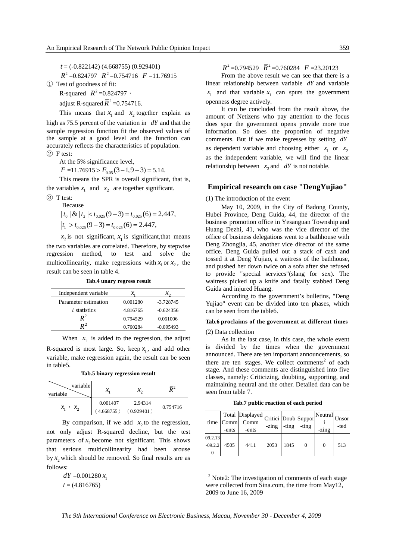*t* = (-0.822142) (4.668755) (0.929401)

$$
R^2 = 0.824797
$$
  $\overline{R}^2 = 0.754716$   $F = 11.76915$ 

① Test of goodness of fit:

R-squared  $R^2 = 0.824797$ ,

adjust R-squared  $\overline{R}^2$  =0.754716.

This means that  $x_1$  and  $x_2$  together explain as

high as 75.5 percent of the variation in *dY* and that the sample regression function fit the observed values of the sample at a good level and the function can accurately reflects the characteristics of population. ② F test:

At the 5% significance level,

 $F = 11.76915 > F_{0.05} (3 - 1.9 - 3) = 5.14.$ 

This means the SPR is overall significant, that is, the variables  $x_1$  and  $x_2$  are together significant.

③ T test: Because

$$
|t_0| \& |t_2| < t_{0.025}(9-3) = t_{0.025}(6) = 2.447,
$$
\n
$$
|t_1| > t_{0.025}(9-3) = t_{0.025}(6) = 2.447,
$$

 $x_2$  is not significant,  $x_1$  is significant, that means the two variables are correlated. Therefore, by stepwise regression method, to test and solve the multicollinearity, make regressions with  $x_1$  or  $x_2$ , the result can be seen in table 4.

**Tab.4 unary regress result** 

| Independent variable |          | $\chi_{\alpha}$ |
|----------------------|----------|-----------------|
| Parameter estimation | 0.001280 | $-3.728745$     |
| t statistics         | 4.816765 | $-0.624356$     |
| $\bm{P}^2$           | 0.794529 | 0.061006        |
|                      | 0.760284 | $-0.095493$     |

When  $x_1$  is added to the regression, the adjust R-squared is most large. So, keep  $x_1$ , and add other variable, make regression again, the result can be seen in table5.

|  |  | Tab.5 binary regression result |  |
|--|--|--------------------------------|--|
|--|--|--------------------------------|--|

| variable<br>variable                                 | $\mathcal{X}_1$          |                       |          |
|------------------------------------------------------|--------------------------|-----------------------|----------|
| $\mathcal{X}_{\alpha}$<br>$\mathcal{X}_1$<br>$\cdot$ | 0.001407<br>$4.668755$ ) | 2.94314<br>(0.929401) | 0.754716 |

By comparison, if we add  $x_2$  to the regression, not only adjust R-squared decline, but the test parameters of  $x_2$  become not significant. This shows that serious multicollinearity had been arouse by  $x$ , which should be removed. So final results are as follows:

> $dY = 0.001280 x$  $t = (4.816765)$

 $R^2 = 0.794529$   $\overline{R}^2 = 0.760284$   $F = 23.20123$ 

From the above result we can see that there is a linear relationship between variable *dY* and variable  $x_1$  and that variable  $x_1$  can spurs the government openness degree actively.

It can be concluded from the result above, the amount of Netizens who pay attention to the focus does spur the government opens provide more true information. So does the proportion of negative comments. But if we make regresses by setting *dY* as dependent variable and choosing either  $x_1$  or  $x_2$ as the independent variable, we will find the linear relationship between  $x_2$  and  $dY$  is not notable.

#### **Empirical research on case "DengYujiao"**

(1) The introduction of the event

May 10, 2009, in the City of Badong County, Hubei Province, Deng Guida, 44, the director of the business promotion office in Yesanguan Township and Huang Dezhi, 41, who was the vice director of the office of business delegations went to a bathhouse with Deng Zhongjia, 45, another vice director of the same office. Deng Guida pulled out a stack of cash and tossed it at Deng Yujiao, a waitress of the bathhouse, and pushed her down twice on a sofa after she refused to provide "special services"(slang for sex). The waitress picked up a knife and fatally stabbed Deng Guida and injured Huang.

According to the government's bulletins, "Deng Yujiao" event can be divided into ten phases, which can be seen from the table6.

#### **Tab.6 proclaims of the government at different times**

(2) Data collection

As in the last case, in this case, the whole event is divided by the times when the government announced. There are ten important announcements, so there are ten stages. We collect comments<sup>2</sup> of each stage. And these comments are distinguished into five classes, namely: Criticizing, doubting, supporting, and maintaining neutral and the other. Detailed data can be seen from table 7.

**Tab.7 public reaction of each period**

|                           | -ents | Total Displayed Critici Doub Suppor Neutral Unsor<br>time Comm Comm<br>-ents | -zing |      | $-ting$ $-ting$ | -zing    | -ted |
|---------------------------|-------|------------------------------------------------------------------------------|-------|------|-----------------|----------|------|
| 09.2.13<br>$-09.2.2$<br>0 | 4505  | 4411                                                                         | 2053  | 1845 | $\Omega$        | $\theta$ | 513  |

 $2$  Note2: The investigation of comments of each stage were collected from Sina.com, the time from May12, 2009 to June 16, 2009

*The 9th International Conference on Electronic Business, Macau, November 30 - December 4, 2009* 

1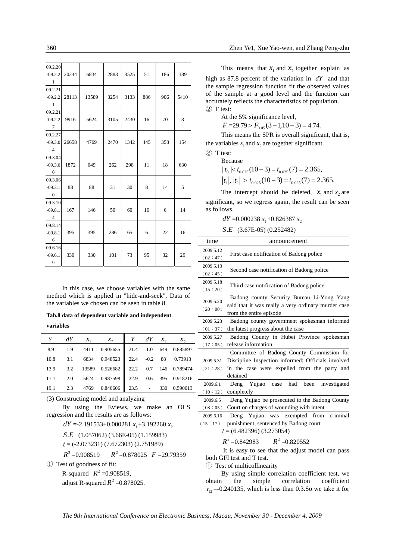| 09.2.20                 | $-09.2.2$ 20244 | 6834  | 2883 | 3525 | 51  | 186 | 189  |
|-------------------------|-----------------|-------|------|------|-----|-----|------|
| $\overline{1}$          |                 |       |      |      |     |     |      |
| 09.2.21                 |                 |       |      |      |     |     |      |
|                         | $-09.2.2$ 28113 | 13589 | 3254 | 3133 | 886 | 906 | 5410 |
| - 1                     |                 |       |      |      |     |     |      |
| 09.2.21                 |                 |       |      |      |     |     |      |
| $-09.2.2$ 9916          |                 | 5624  | 3105 | 2430 | 16  | 70  | 3    |
| $\overline{7}$          |                 |       |      |      |     |     |      |
| 09.2.27                 |                 |       |      |      |     |     |      |
|                         | $-09.3.0$ 26658 | 4769  | 2470 | 1342 | 445 | 358 | 154  |
| $\overline{4}$          |                 |       |      |      |     |     |      |
| 09.3.04                 |                 |       |      |      |     |     |      |
| $-09.3.0$               | 1872            | 649   | 262  | 298  | 11  | 18  | 630  |
| $6\overline{6}$         |                 |       |      |      |     |     |      |
| 09.3.06                 |                 |       |      |      |     |     |      |
| $-09.3.1$               | - 88            | 88    | 31   | 30   | 8   | 14  | 5    |
| $\overline{\mathbf{0}}$ |                 |       |      |      |     |     |      |
| 09.3.10                 |                 |       |      |      |     |     |      |
| $-09.8.1$               | 167             | 146   | 50   | 60   | 16  | 6   | 14   |
| $\overline{4}$          |                 |       |      |      |     |     |      |
| 09.8.14                 |                 |       |      |      |     |     |      |
| $-09.8.1$               | 395             | 395   | 286  | 65   | 6   | 22  | 16   |
| $6\overline{6}$         |                 |       |      |      |     |     |      |
| 09.6.16                 |                 |       |      |      |     |     |      |
| $-09.6.1$               | 330             | 330   | 101  | 73   | 95  | 32  | 29   |
| $\overline{9}$          |                 |       |      |      |     |     |      |
|                         |                 |       |      |      |     |     |      |

In this case, we choose variables with the same method which is applied in "hide-and-seek". Data of the variables we chosen can be seen in table 8.

#### **Tab.8 data of dependent variable and independent**

**variables** 

| $Y \qquad dY$ | $\mathcal{X}_1$ | $\chi_{\alpha}$                               |  | $Y$ dY $x_1$ $x_2$ |
|---------------|-----------------|-----------------------------------------------|--|--------------------|
|               |                 | 8.9 1.9 4411 0.905655 21.4 1.0 649 0.885897   |  |                    |
|               |                 | 10.8 3.1 6834 0.948523 22.4 -0.2 88 0.73913   |  |                    |
|               |                 | 13.9 3.2 13589 0.526682 22.2 0.7 146 0.789474 |  |                    |
|               |                 | 17.1 2.0 5624 0.987598 22.9 0.6 395 0.918216  |  |                    |
|               |                 | 19.1 2.3 4769 0.840606 23.5 - 330 0.590013    |  |                    |

(3) Constructing model and analyzing

By using the Eviews, we make an OLS regression and the results are as follows:

$$
dY = -2.191533 + 0.000281 x_1 + 3.192260 x_2
$$

*S E*. (1.057062) (3.66E-05) (1.159983)

*t* = (-2.073231) (7.672303) (2.751989)

 $R^2 = 0.908519$   $\overline{R}^2 = 0.878025$   $F = 29.79359$ 

① Test of goodness of fit:

R-squared  $R^2 = 0.908519$ , adjust R-squared  $\overline{R}^2$  =0.878025.

This means that  $x_1$  and  $x_2$  together explain as high as 87.8 percent of the variation in *dY* and that the sample regression function fit the observed values of the sample at a good level and the function can accurately reflects the characteristics of population. ② F test:

At the 5% significance level,

 $F = 29.79 > F_{0.05} (3 - 1.10 - 3) = 4.74.$ 

This means the SPR is overall significant, that is, the variables  $x_1$  and  $x_2$  are together significant.

③ T test:

Because

 $|t_0| < t_{0.025} (10-3) = t_{0.025} (7) = 2.365$ ,

 $|t_1|, |t_2| > t_{0.025} (10-3) = t_{0.025} (7) = 2.365.$ 

The intercept should be deleted,  $x_1$  and  $x_2$  are significant, so we regress again, the result can be seen as follows.

 $dY = 0.000238 x_1 + 0.826387 x_2$ 

*S E*. (3.67E-05) (0.252482)

| time                        | announcement                                        |  |  |  |  |
|-----------------------------|-----------------------------------------------------|--|--|--|--|
| 2009.5.12                   |                                                     |  |  |  |  |
| (02:47)                     | First case notification of Badong police            |  |  |  |  |
| 2009.5.13                   | Second case notification of Badong police           |  |  |  |  |
| (02:45)                     |                                                     |  |  |  |  |
| 2009.5.18                   | Third case notification of Badong police            |  |  |  |  |
| (15:20)                     |                                                     |  |  |  |  |
| 2009.5.20                   | Badong county Security Bureau Li-Yong Yang          |  |  |  |  |
| (20:00)                     | said that it was really a very ordinary murder case |  |  |  |  |
|                             | from the entire episode                             |  |  |  |  |
| 2009.5.23                   | Badong county government spokesman informed         |  |  |  |  |
| (01:37)                     | the latest progress about the case                  |  |  |  |  |
| 2009.5.27                   | Badong County in Hubei Province spokesman           |  |  |  |  |
| (17:05)                     | release information                                 |  |  |  |  |
|                             | Committee of Badong County Commission for           |  |  |  |  |
| 2009.5.31                   | Discipline Inspection informed: Officials involved  |  |  |  |  |
| (21:28)                     | in the case were expelled from the party and        |  |  |  |  |
|                             | detained                                            |  |  |  |  |
| 2009.6.1                    | had<br>Deng Yujiao<br>been<br>investigated<br>case  |  |  |  |  |
| (10:12)                     | completely                                          |  |  |  |  |
| 2009.6.5                    | Deng Yujiao be prosecuted to the Badong County      |  |  |  |  |
| (08:05)                     | Court on charges of wounding with intent            |  |  |  |  |
| 2009.6.16                   | Deng Yujiao was exempted from criminal              |  |  |  |  |
| (15:17)                     | punishment, sentenced by Badong court               |  |  |  |  |
| $t = (6.482396) (3.273054)$ |                                                     |  |  |  |  |

 $R^2 = 0.842983$   $\overline{R}^2 = 0.820552$ 

It is easy to see that the adjust model can pass both GFI test and T test.

① Test of multicollinearity

By using simple correlation coefficient test, we obtain the simple correlation coefficient  $r_{12} = -0.240135$ , which is less than 0.3.So we take it for

*The 9th International Conference on Electronic Business, Macau, November 30 - December 4, 2009*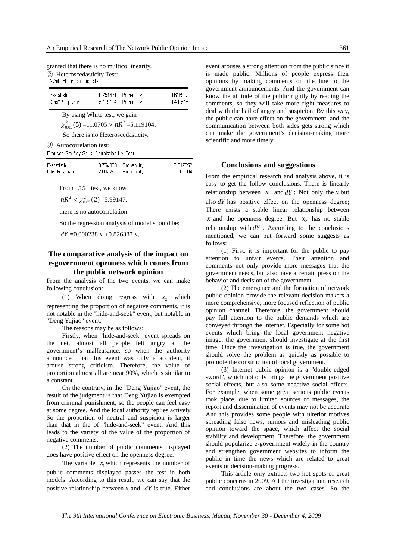granted that there is no multicollinearity.

② Heteroscedasticity Test:

White Heteroskedasticity Test:

| F-statistic   | 0.791431 Probability | 0.618902 |
|---------------|----------------------|----------|
| Obs*R-squared | 5.119104 Probability | 0.401518 |

By using White test, we gain  $\chi^{2}_{0.05}(5)$  =11.0705 >  $nR^{2}$  =5.119104;

So there is no Heteroscedasticity.

③ Autocorrelation test:

Breusch-Godfrey Serial Correlation LM Test:

| F-statistic   | 0.754060 Probability | 0.517352 |
|---------------|----------------------|----------|
| Obs*R-squared | 2.037291 Probability | 0.361084 |
|               |                      |          |

From *BG* test, we know

 $nR^2 < \chi^2_{0.05}(2) = 5.99147,$ 

there is no autocorrelation.

So the regression analysis of model should be:

 $dY = 0.000238 x_1 + 0.826387 x_2$ .

### **The comparative analysis of the impact on e-government openness which comes from the public network opinion**

From the analysis of the two events, we can make following conclusion:

(1) When doing regress with  $x_2$  which representing the proportion of negative comments, it is not notable in the "hide-and-seek" event, but notable in "Deng Yujiao" event.

The reasons may be as follows:

Firstly, when "hide-and-seek" event spreads on the net, almost all people felt angry at the government's malfeasance, so when the authority announced that this event was only a accident, it arouse strong criticism. Therefore, the value of proportion almost all are near 90%, which is similar to a constant.

On the contrary, in the "Deng Yujiao" event, the result of the judgment is that Deng Yujiao is exempted from criminal punishment, so the people can feel easy at some degree. And the local authority replies actively. So the proportion of neutral and suspicion is larger than that in the of "hide-and-seek" event. And this leads to the variety of the value of the proportion of negative comments.

(2) The number of public comments displayed does have positive effect on the openness degree.

The variable  $x_i$  which represents the number of public comments displayed passes the test in both models. According to this result, we can say that the positive relationship between  $x_i$  and *dY* is true. Either event arouses a strong attention from the public since it is made public. Millions of people express their opinions by making comments on the line to the government announcements. And the government can know the attitude of the public rightly by reading the comments, so they will take more right measures to deal with the hail of angry and suspicion. By this way, the public can have effect on the government, and the communication between both sides gets strong which can make the government's decision-making more scientific and more timely.

#### **Conclusions and suggestions**

From the empirical research and analysis above, it is easy to get the follow conclusions. There is linearly relationship between  $x_1$  and *dY*; Not only the  $x_1$  but also *dY* has positive effect on the openness degree; There exists a stable linear relationship between  $x_1$  and the openness degree. But  $x_2$  has no stable relationship with *dY* . According to the conclusions mentioned, we can put forward some suggests as follows:

(1) First, it is important for the public to pay attention to unfair events. Their attention and comments not only provide more messages that the government needs, but also have a certain press on the behavior and decision of the government.

(2) The emergence and the formation of network public opinion provide the relevant decision-makers a more comprehensive, more focused reflection of public opinion channel. Therefore, the government should pay full attention to the public demands which are conveyed through the Internet. Especially for some hot events which bring the local government negative image, the government should investigate at the first time. Once the investigation is true, the government should solve the problem as quickly as possible to promote the construction of local government.

(3) Internet public opinion is a "double-edged sword", which not only brings the government positive social effects, but also some negative social effects. For example, when some great serious public events took place, due to limited sources of messages, the report and dissemination of events may not be accurate. And this provides some people with ulterior motives spreading false news, rumors and misleading public opinion toward the space, which affect the social stability and development. Therefore, the government should popularize e-government widely in the country and strengthen government websites to inform the public in time the news which are related to great events or decision-making progress.

This article only extracts two hot spots of great public concerns in 2009. All the investigation, research and conclusions are about the two cases. So the